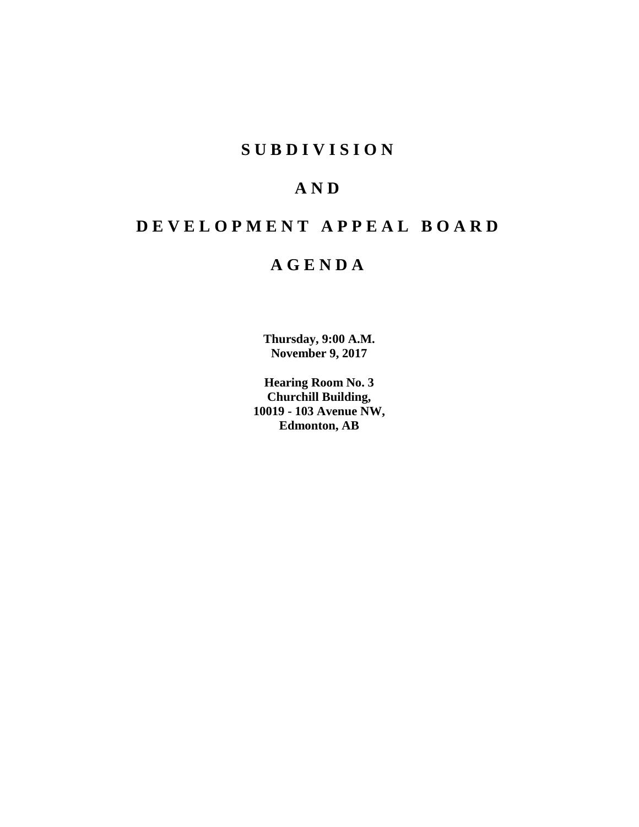## **SUBDIVISION**

# **AND**

# **DEVELOPMENT APPEAL BOARD**

# **AGENDA**

**Thursday, 9:00 A.M. November 9, 2017**

**Hearing Room No. 3 Churchill Building, 10019 - 103 Avenue NW, Edmonton, AB**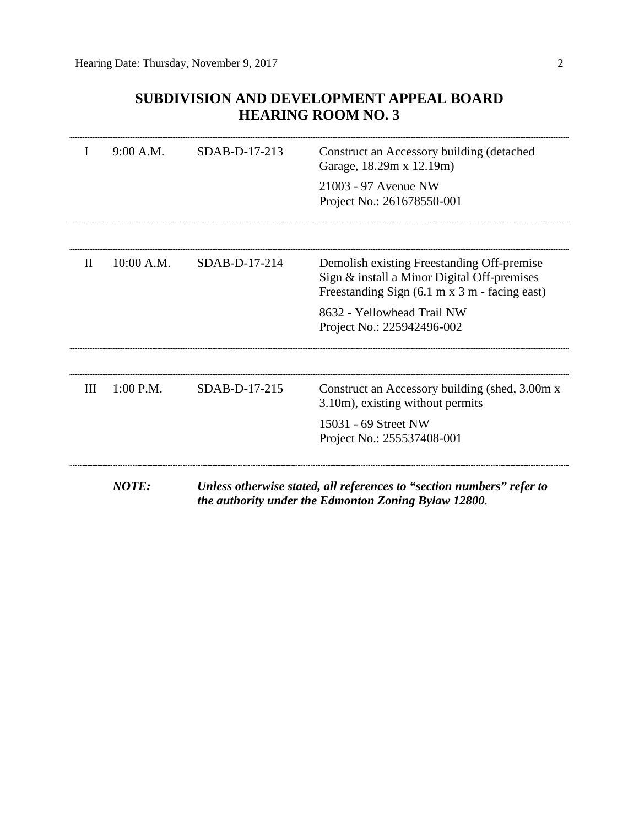## **SUBDIVISION AND DEVELOPMENT APPEAL BOARD HEARING ROOM NO. 3**

| I            | 9:00 A.M.    | SDAB-D-17-213 | Construct an Accessory building (detached<br>Garage, 18.29m x 12.19m)                                                                      |  |
|--------------|--------------|---------------|--------------------------------------------------------------------------------------------------------------------------------------------|--|
|              |              |               | 21003 - 97 Avenue NW<br>Project No.: 261678550-001                                                                                         |  |
|              |              |               |                                                                                                                                            |  |
| $\mathbf{H}$ | 10:00 A.M.   | SDAB-D-17-214 | Demolish existing Freestanding Off-premise<br>Sign & install a Minor Digital Off-premises<br>Freestanding Sign (6.1 m x 3 m - facing east) |  |
|              |              |               | 8632 - Yellowhead Trail NW<br>Project No.: 225942496-002                                                                                   |  |
|              |              |               |                                                                                                                                            |  |
| Ш            | $1:00$ P.M.  | SDAB-D-17-215 | Construct an Accessory building (shed, 3.00m x<br>3.10m), existing without permits                                                         |  |
|              |              |               | 15031 - 69 Street NW<br>Project No.: 255537408-001                                                                                         |  |
|              | <b>NOTE:</b> |               | Unless otherwise stated, all references to "section numbers" refer to<br>the authority under the Edmonton Zoning Bylaw 12800.              |  |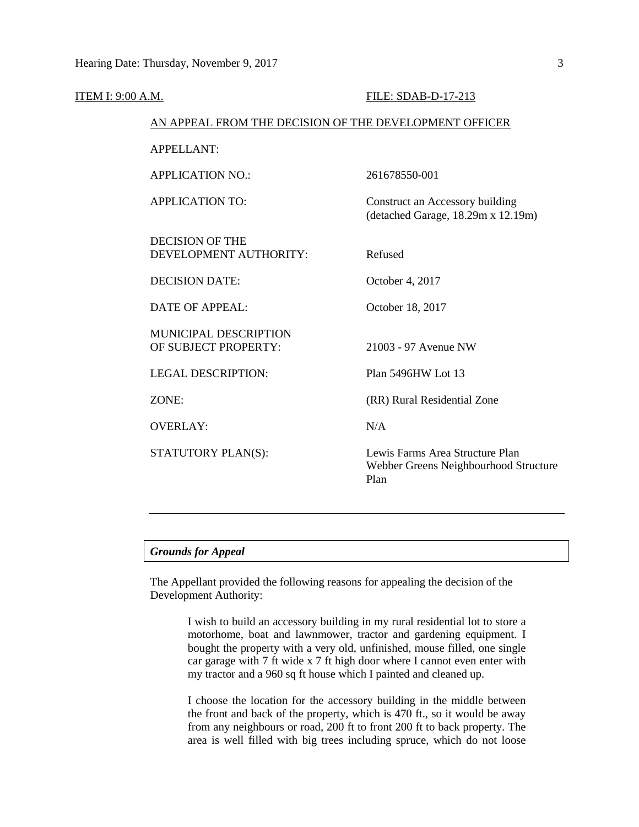| ITEM I: 9:00 A.M. |                                                        | FILE: SDAB-D-17-213                                                              |  |  |  |  |  |
|-------------------|--------------------------------------------------------|----------------------------------------------------------------------------------|--|--|--|--|--|
|                   | AN APPEAL FROM THE DECISION OF THE DEVELOPMENT OFFICER |                                                                                  |  |  |  |  |  |
|                   | <b>APPELLANT:</b>                                      |                                                                                  |  |  |  |  |  |
|                   | <b>APPLICATION NO.:</b>                                | 261678550-001                                                                    |  |  |  |  |  |
|                   | <b>APPLICATION TO:</b>                                 | Construct an Accessory building<br>(detached Garage, 18.29m x 12.19m)            |  |  |  |  |  |
|                   | <b>DECISION OF THE</b><br>DEVELOPMENT AUTHORITY:       | Refused                                                                          |  |  |  |  |  |
|                   | <b>DECISION DATE:</b>                                  | October 4, 2017                                                                  |  |  |  |  |  |
|                   | <b>DATE OF APPEAL:</b>                                 | October 18, 2017                                                                 |  |  |  |  |  |
|                   | <b>MUNICIPAL DESCRIPTION</b><br>OF SUBJECT PROPERTY:   | 21003 - 97 Avenue NW                                                             |  |  |  |  |  |
|                   | <b>LEGAL DESCRIPTION:</b>                              | Plan 5496HW Lot 13                                                               |  |  |  |  |  |
|                   | ZONE:                                                  | (RR) Rural Residential Zone                                                      |  |  |  |  |  |
|                   | <b>OVERLAY:</b>                                        | N/A                                                                              |  |  |  |  |  |
|                   | STATUTORY PLAN(S):                                     | Lewis Farms Area Structure Plan<br>Webber Greens Neighbourhood Structure<br>Plan |  |  |  |  |  |
|                   |                                                        |                                                                                  |  |  |  |  |  |

The Appellant provided the following reasons for appealing the decision of the Development Authority:

> I wish to build an accessory building in my rural residential lot to store a motorhome, boat and lawnmower, tractor and gardening equipment. I bought the property with a very old, unfinished, mouse filled, one single car garage with 7 ft wide x 7 ft high door where I cannot even enter with my tractor and a 960 sq ft house which I painted and cleaned up.

> I choose the location for the accessory building in the middle between the front and back of the property, which is 470 ft., so it would be away from any neighbours or road, 200 ft to front 200 ft to back property. The area is well filled with big trees including spruce, which do not loose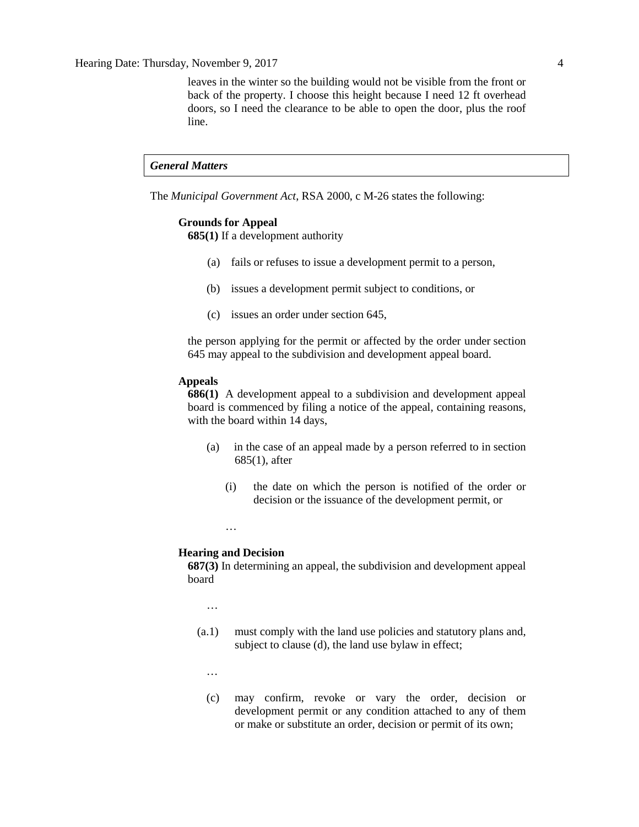Hearing Date: Thursday, November 9, 2017 4

leaves in the winter so the building would not be visible from the front or back of the property. I choose this height because I need 12 ft overhead doors, so I need the clearance to be able to open the door, plus the roof line.

#### *General Matters*

The *Municipal Government Act*, RSA 2000, c M-26 states the following:

#### **Grounds for Appeal**

**685(1)** If a development authority

- (a) fails or refuses to issue a development permit to a person,
- (b) issues a development permit subject to conditions, or
- (c) issues an order under section 645,

the person applying for the permit or affected by the order under section 645 may appeal to the subdivision and development appeal board.

#### **Appeals**

**686(1)** A development appeal to a subdivision and development appeal board is commenced by filing a notice of the appeal, containing reasons, with the board within 14 days,

- (a) in the case of an appeal made by a person referred to in section 685(1), after
	- (i) the date on which the person is notified of the order or decision or the issuance of the development permit, or

## …

#### **Hearing and Decision**

**687(3)** In determining an appeal, the subdivision and development appeal board

…

- (a.1) must comply with the land use policies and statutory plans and, subject to clause (d), the land use bylaw in effect;
	- …
	- (c) may confirm, revoke or vary the order, decision or development permit or any condition attached to any of them or make or substitute an order, decision or permit of its own;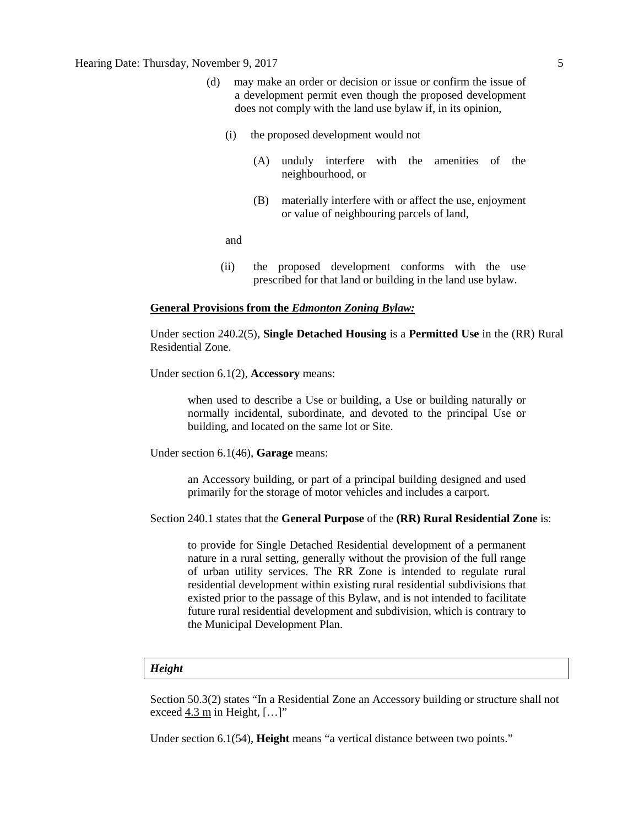### Hearing Date: Thursday, November 9, 2017 5

- (d) may make an order or decision or issue or confirm the issue of a development permit even though the proposed development does not comply with the land use bylaw if, in its opinion,
	- (i) the proposed development would not
		- (A) unduly interfere with the amenities of the neighbourhood, or
		- (B) materially interfere with or affect the use, enjoyment or value of neighbouring parcels of land,

and

(ii) the proposed development conforms with the use prescribed for that land or building in the land use bylaw.

#### **General Provisions from the** *Edmonton Zoning Bylaw:*

Under section 240.2(5), **Single Detached Housing** is a **Permitted Use** in the (RR) Rural Residential Zone.

Under section 6.1(2), **Accessory** means:

when used to describe a Use or building, a Use or building naturally or normally incidental, subordinate, and devoted to the principal Use or building, and located on the same lot or Site.

Under section 6.1(46), **Garage** means:

an Accessory building, or part of a principal building designed and used primarily for the storage of motor vehicles and includes a carport.

Section 240.1 states that the **General Purpose** of the **(RR) Rural Residential Zone** is:

to provide for Single Detached Residential development of a permanent nature in a rural setting, generally without the provision of the full range of urban utility services. The RR Zone is intended to regulate rural residential development within existing rural residential subdivisions that existed prior to the passage of this Bylaw, and is not intended to facilitate future rural residential development and subdivision, which is contrary to the Municipal Development Plan.

#### *Height*

Section 50.3(2) states "In a Residential Zone an Accessory building or structure shall not exceed 4.3 m in Height, […]"

Under section 6.1(54), **Height** means "a vertical distance between two points."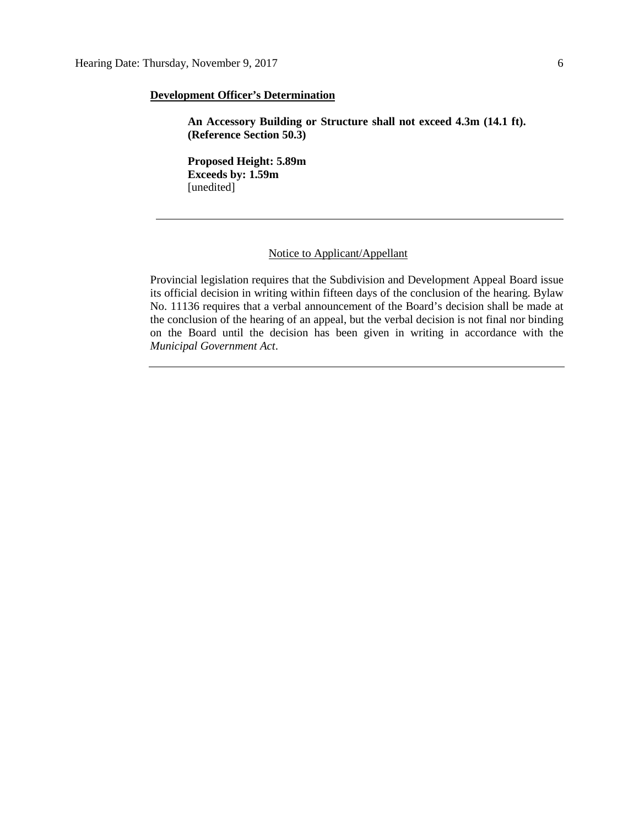#### **Development Officer's Determination**

**An Accessory Building or Structure shall not exceed 4.3m (14.1 ft). (Reference Section 50.3)**

**Proposed Height: 5.89m Exceeds by: 1.59m** [unedited]

## Notice to Applicant/Appellant

Provincial legislation requires that the Subdivision and Development Appeal Board issue its official decision in writing within fifteen days of the conclusion of the hearing. Bylaw No. 11136 requires that a verbal announcement of the Board's decision shall be made at the conclusion of the hearing of an appeal, but the verbal decision is not final nor binding on the Board until the decision has been given in writing in accordance with the *Municipal Government Act*.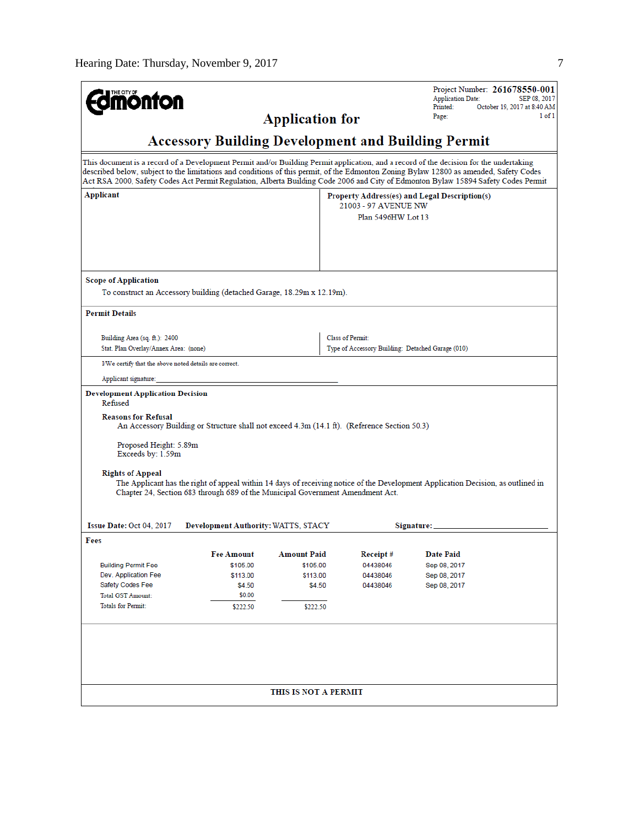| <b>monton</b>                                                                                                                                                                                                                                                                                                                                                                                                                                                                                                                                                     |                                                                                                                                                                                                                                                                                                                                                                                                                       | <b>Application for</b>                                           |                                                                                             | Project Number: 261678550-001<br><b>Application Date:</b><br>Printed:<br>Page: | SEP 08, 2017<br>October 19, 2017 at 8:40 AM<br>1 of 1 |  |  |
|-------------------------------------------------------------------------------------------------------------------------------------------------------------------------------------------------------------------------------------------------------------------------------------------------------------------------------------------------------------------------------------------------------------------------------------------------------------------------------------------------------------------------------------------------------------------|-----------------------------------------------------------------------------------------------------------------------------------------------------------------------------------------------------------------------------------------------------------------------------------------------------------------------------------------------------------------------------------------------------------------------|------------------------------------------------------------------|---------------------------------------------------------------------------------------------|--------------------------------------------------------------------------------|-------------------------------------------------------|--|--|
| <b>Accessory Building Development and Building Permit</b>                                                                                                                                                                                                                                                                                                                                                                                                                                                                                                         |                                                                                                                                                                                                                                                                                                                                                                                                                       |                                                                  |                                                                                             |                                                                                |                                                       |  |  |
|                                                                                                                                                                                                                                                                                                                                                                                                                                                                                                                                                                   | This document is a record of a Development Permit and/or Building Permit application, and a record of the decision for the undertaking<br>described below, subject to the limitations and conditions of this permit, of the Edmonton Zoning Bylaw 12800 as amended, Safety Codes<br>Act RSA 2000, Safety Codes Act Permit Regulation, Alberta Building Code 2006 and City of Edmonton Bylaw 15894 Safety Codes Permit |                                                                  |                                                                                             |                                                                                |                                                       |  |  |
| Applicant                                                                                                                                                                                                                                                                                                                                                                                                                                                                                                                                                         |                                                                                                                                                                                                                                                                                                                                                                                                                       |                                                                  | Property Address(es) and Legal Description(s)<br>21003 - 97 AVENUE NW<br>Plan 5496HW Lot 13 |                                                                                |                                                       |  |  |
| <b>Scope of Application</b><br>To construct an Accessory building (detached Garage, 18.29m x 12.19m).                                                                                                                                                                                                                                                                                                                                                                                                                                                             |                                                                                                                                                                                                                                                                                                                                                                                                                       |                                                                  |                                                                                             |                                                                                |                                                       |  |  |
| <b>Permit Details</b>                                                                                                                                                                                                                                                                                                                                                                                                                                                                                                                                             |                                                                                                                                                                                                                                                                                                                                                                                                                       |                                                                  |                                                                                             |                                                                                |                                                       |  |  |
| Building Area (sq. ft.): 2400<br>Stat. Plan Overlay/Annex Area: (none)                                                                                                                                                                                                                                                                                                                                                                                                                                                                                            |                                                                                                                                                                                                                                                                                                                                                                                                                       |                                                                  | <b>Class of Permit:</b><br>Type of Accessory Building: Detached Garage (010)                |                                                                                |                                                       |  |  |
| I/We certify that the above noted details are correct.                                                                                                                                                                                                                                                                                                                                                                                                                                                                                                            |                                                                                                                                                                                                                                                                                                                                                                                                                       |                                                                  |                                                                                             |                                                                                |                                                       |  |  |
| Applicant signature:                                                                                                                                                                                                                                                                                                                                                                                                                                                                                                                                              |                                                                                                                                                                                                                                                                                                                                                                                                                       |                                                                  |                                                                                             |                                                                                |                                                       |  |  |
| <b>Development Application Decision</b><br>Refused<br><b>Reasons for Refusal</b><br>An Accessory Building or Structure shall not exceed 4.3m (14.1 ft). (Reference Section 50.3)<br>Proposed Height: 5.89m<br>Exceeds by: 1.59m<br><b>Rights of Appeal</b><br>The Applicant has the right of appeal within 14 days of receiving notice of the Development Application Decision, as outlined in<br>Chapter 24, Section 683 through 689 of the Municipal Government Amendment Act.<br>Issue Date: Oct 04, 2017<br>Development Authority: WATTS, STACY<br>Signature: |                                                                                                                                                                                                                                                                                                                                                                                                                       |                                                                  |                                                                                             |                                                                                |                                                       |  |  |
| Fees                                                                                                                                                                                                                                                                                                                                                                                                                                                                                                                                                              |                                                                                                                                                                                                                                                                                                                                                                                                                       |                                                                  |                                                                                             |                                                                                |                                                       |  |  |
| <b>Building Permit Fee</b><br>Dev. Application Fee<br>Safety Codes Fee<br>Total GST Amount:<br><b>Totals for Permit:</b>                                                                                                                                                                                                                                                                                                                                                                                                                                          | <b>Fee Amount</b><br>\$105.00<br>\$113.00<br>\$4.50<br>\$0.00<br>\$222.50                                                                                                                                                                                                                                                                                                                                             | <b>Amount Paid</b><br>\$105.00<br>\$113.00<br>\$4.50<br>\$222.50 | Receipt#<br>04438046<br>04438046<br>04438046                                                | <b>Date Paid</b><br>Sep 08, 2017<br>Sep 08, 2017<br>Sep 08, 2017               |                                                       |  |  |
|                                                                                                                                                                                                                                                                                                                                                                                                                                                                                                                                                                   |                                                                                                                                                                                                                                                                                                                                                                                                                       | THIS IS NOT A PERMIT                                             |                                                                                             |                                                                                |                                                       |  |  |
|                                                                                                                                                                                                                                                                                                                                                                                                                                                                                                                                                                   |                                                                                                                                                                                                                                                                                                                                                                                                                       |                                                                  |                                                                                             |                                                                                |                                                       |  |  |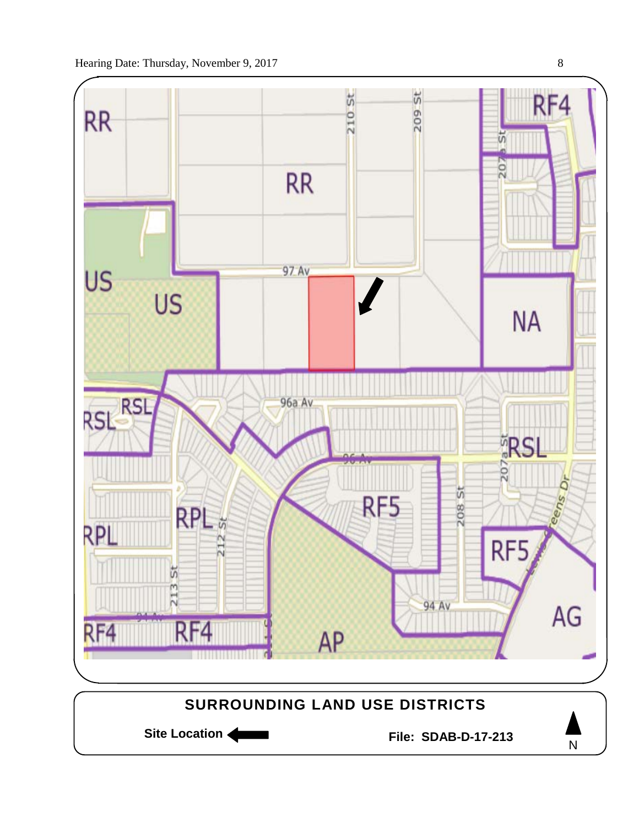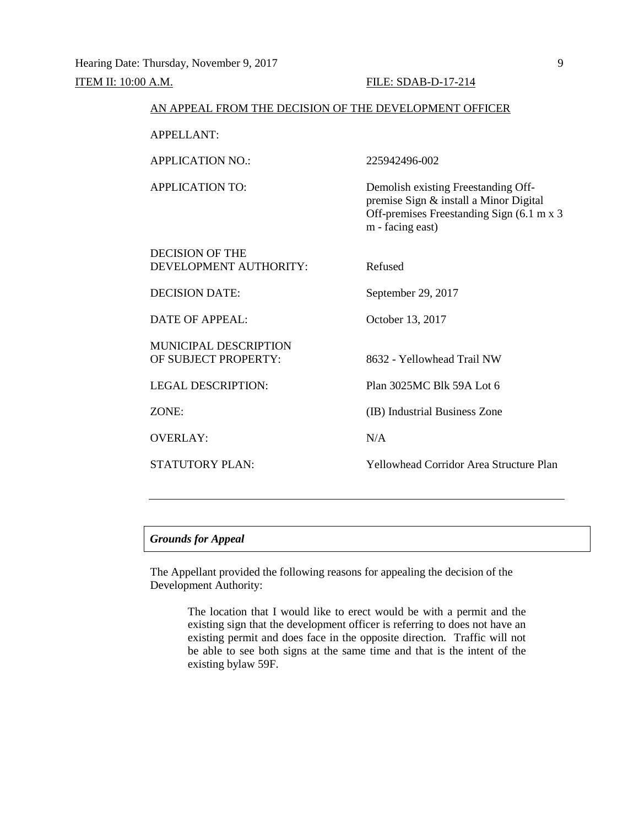| AN APPEAL FROM THE DECISION OF THE DEVELOPMENT OFFICER |                                                                                                                                                 |
|--------------------------------------------------------|-------------------------------------------------------------------------------------------------------------------------------------------------|
| <b>APPELLANT:</b>                                      |                                                                                                                                                 |
| <b>APPLICATION NO.:</b>                                | 225942496-002                                                                                                                                   |
| APPLICATION TO:                                        | Demolish existing Freestanding Off-<br>premise Sign & install a Minor Digital<br>Off-premises Freestanding Sign (6.1 m x 3)<br>m - facing east) |
| <b>DECISION OF THE</b><br>DEVELOPMENT AUTHORITY:       | Refused                                                                                                                                         |
| <b>DECISION DATE:</b>                                  | September 29, 2017                                                                                                                              |
| DATE OF APPEAL:                                        | October 13, 2017                                                                                                                                |
| <b>MUNICIPAL DESCRIPTION</b><br>OF SUBJECT PROPERTY:   | 8632 - Yellowhead Trail NW                                                                                                                      |
| <b>LEGAL DESCRIPTION:</b>                              | Plan 3025MC Blk 59A Lot 6                                                                                                                       |
| ZONE:                                                  | (IB) Industrial Business Zone                                                                                                                   |
| <b>OVERLAY:</b>                                        | N/A                                                                                                                                             |
| <b>STATUTORY PLAN:</b>                                 | <b>Yellowhead Corridor Area Structure Plan</b>                                                                                                  |

The Appellant provided the following reasons for appealing the decision of the Development Authority:

> The location that I would like to erect would be with a permit and the existing sign that the development officer is referring to does not have an existing permit and does face in the opposite direction. Traffic will not be able to see both signs at the same time and that is the intent of the existing bylaw 59F.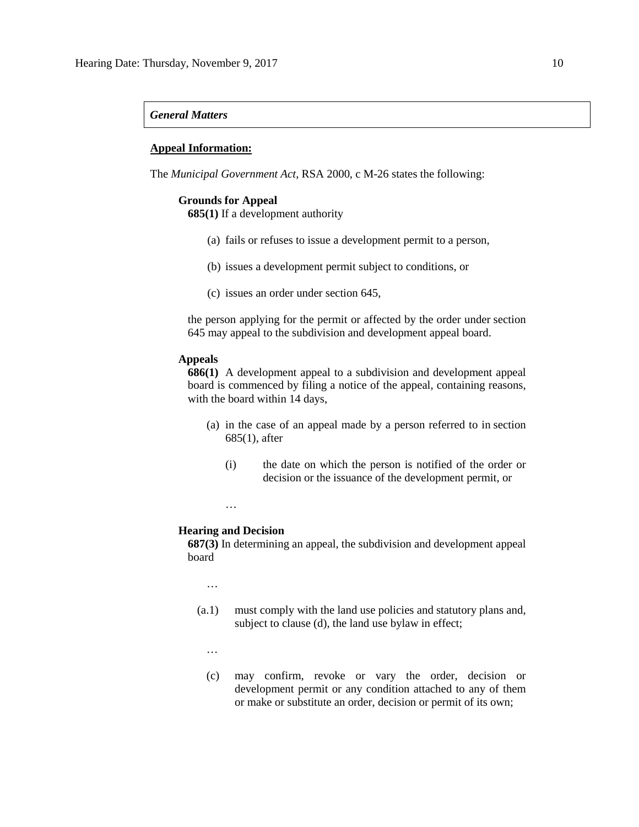### *General Matters*

#### **Appeal Information:**

The *Municipal Government Act*, RSA 2000, c M-26 states the following:

#### **Grounds for Appeal**

**685(1)** If a development authority

- (a) fails or refuses to issue a development permit to a person,
- (b) issues a development permit subject to conditions, or
- (c) issues an order under section 645,

the person applying for the permit or affected by the order under section 645 may appeal to the subdivision and development appeal board.

#### **Appeals**

**686(1)** A development appeal to a subdivision and development appeal board is commenced by filing a notice of the appeal, containing reasons, with the board within 14 days,

- (a) in the case of an appeal made by a person referred to in section 685(1), after
	- (i) the date on which the person is notified of the order or decision or the issuance of the development permit, or
- **Hearing and Decision**

…

**687(3)** In determining an appeal, the subdivision and development appeal board

…

- (a.1) must comply with the land use policies and statutory plans and, subject to clause (d), the land use bylaw in effect;
	- …
	- (c) may confirm, revoke or vary the order, decision or development permit or any condition attached to any of them or make or substitute an order, decision or permit of its own;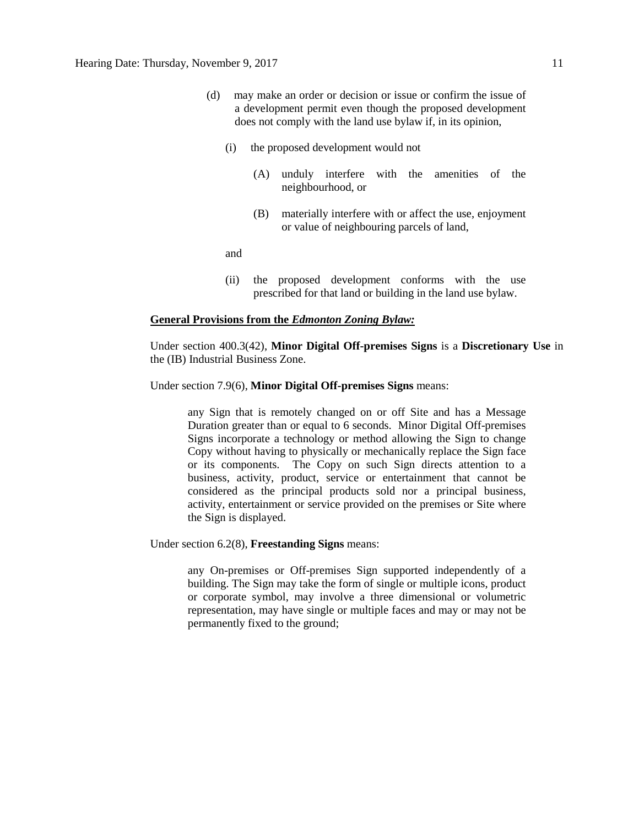- (d) may make an order or decision or issue or confirm the issue of a development permit even though the proposed development does not comply with the land use bylaw if, in its opinion,
	- (i) the proposed development would not
		- (A) unduly interfere with the amenities of the neighbourhood, or
		- (B) materially interfere with or affect the use, enjoyment or value of neighbouring parcels of land,

and

(ii) the proposed development conforms with the use prescribed for that land or building in the land use bylaw.

#### **General Provisions from the** *Edmonton Zoning Bylaw:*

Under section 400.3(42), **Minor Digital Off-premises Signs** is a **Discretionary Use** in the (IB) Industrial Business Zone.

#### Under section 7.9(6), **Minor Digital Off-premises Signs** means:

any Sign that is remotely changed on or off Site and has a Message Duration greater than or equal to 6 seconds. Minor Digital Off-premises Signs incorporate a technology or method allowing the Sign to change Copy without having to physically or mechanically replace the Sign face or its components. The Copy on such Sign directs attention to a business, activity, product, service or entertainment that cannot be considered as the principal products sold nor a principal business, activity, entertainment or service provided on the premises or Site where the Sign is displayed.

Under section 6.2(8), **Freestanding Signs** means:

any On-premises or Off-premises Sign supported independently of a building. The Sign may take the form of single or multiple icons, product or corporate symbol, may involve a three dimensional or volumetric representation, may have single or multiple faces and may or may not be permanently fixed to the ground;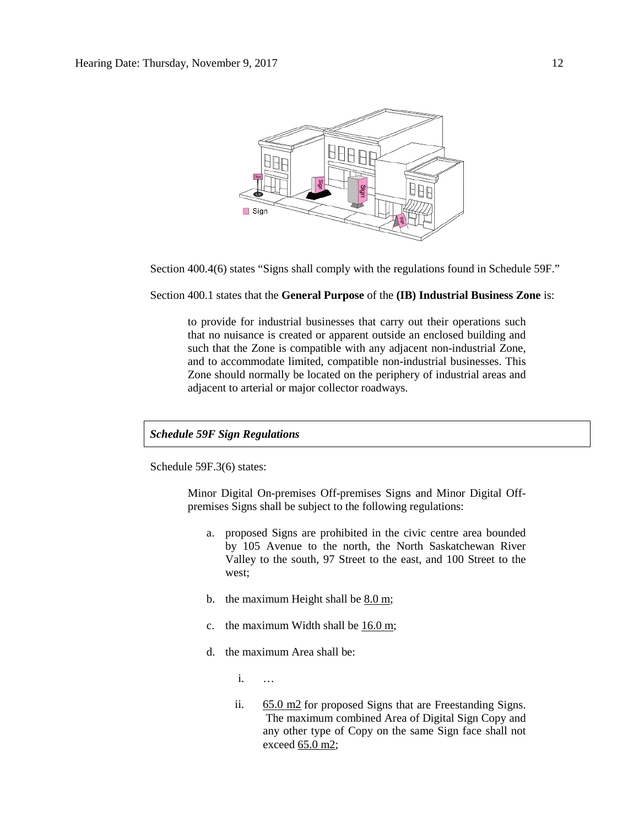

Section 400.4(6) states "Signs shall comply with the regulations found in Schedule 59F."

Section 400.1 states that the **General Purpose** of the **(IB) Industrial Business Zone** is:

to provide for industrial businesses that carry out their operations such that no nuisance is created or apparent outside an enclosed building and such that the Zone is compatible with any adjacent non-industrial Zone, and to accommodate limited, compatible non-industrial businesses. This Zone should normally be located on the periphery of industrial areas and adjacent to arterial or major collector roadways.

#### *Schedule 59F Sign Regulations*

Schedule 59F.3(6) states:

Minor Digital On-premises Off-premises Signs and Minor Digital Offpremises Signs shall be subject to the following regulations:

- a. proposed Signs are prohibited in the civic centre area bounded by 105 Avenue to the north, the North Saskatchewan River Valley to the south, 97 Street to the east, and 100 Street to the west;
- b. the maximum Height shall be [8.0 m;](javascript:void(0);)
- c. the maximum Width shall be  $16.0 \text{ m}$ ;
- d. the maximum Area shall be:
	- i. …
	- ii. [65.0 m2](javascript:void(0);) for proposed Signs that are Freestanding Signs. The maximum combined Area of Digital Sign Copy and any other type of Copy on the same Sign face shall not exceed [65.0 m2;](javascript:void(0);)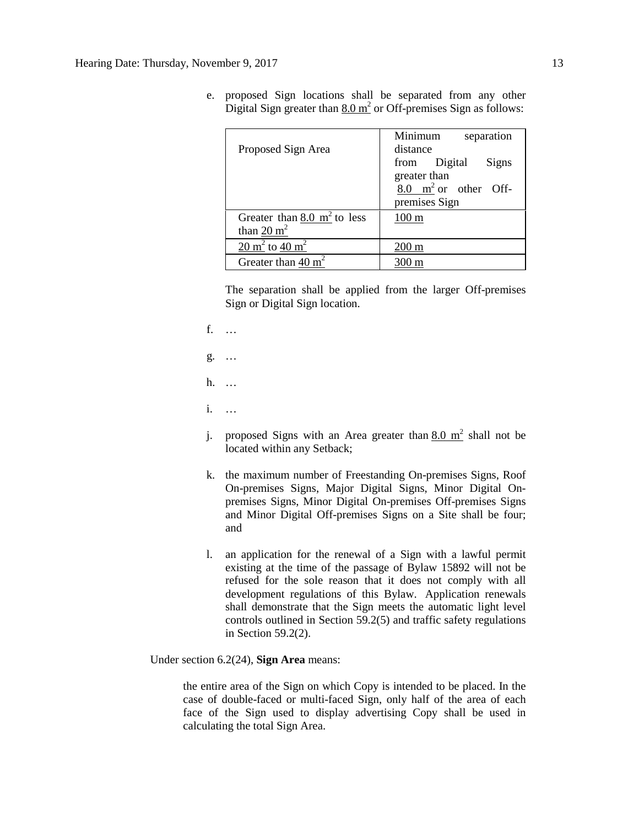| Proposed Sign Area                                         | Minimum<br>separation<br>distance               |
|------------------------------------------------------------|-------------------------------------------------|
|                                                            | from Digital<br>Signs                           |
|                                                            | greater than<br>$8.0 \text{ m}^2$ or other Off- |
|                                                            | premises Sign                                   |
| Greater than $8.0 \text{ m}^2$ to less                     | $100 \text{ m}$                                 |
| than $20 \text{ m}^2$                                      |                                                 |
| $\overline{20 \text{ m}^2}$ to $\overline{40 \text{ m}^2}$ | 200 m                                           |
| Greater than $40 \text{ m}^2$                              |                                                 |

e. proposed Sign locations shall be separated from any other Digital Sign greater than  $8.0 \text{ m}^2$  or Off-premises Sign as follows:

The separation shall be applied from the larger Off-premises Sign or Digital Sign location.

- f. …
- g. …
- h. …
- i. …
- j. proposed Signs with an Area greater than  $8.0 \text{ m}^2$  shall not be located within any Setback;
- k. the maximum number of Freestanding On-premises Signs, Roof On-premises Signs, Major Digital Signs, Minor Digital Onpremises Signs, Minor Digital On-premises Off-premises Signs and Minor Digital Off-premises Signs on a Site shall be four; and
- l. an application for the renewal of a Sign with a lawful permit existing at the time of the passage of Bylaw 15892 will not be refused for the sole reason that it does not comply with all development regulations of this Bylaw. Application renewals shall demonstrate that the Sign meets the automatic light level controls outlined in Section 59.2(5) and traffic safety regulations in Section 59.2(2).

Under section 6.2(24), **Sign Area** means:

the entire area of the Sign on which Copy is intended to be placed. In the case of double-faced or multi-faced Sign, only half of the area of each face of the Sign used to display advertising Copy shall be used in calculating the total Sign Area.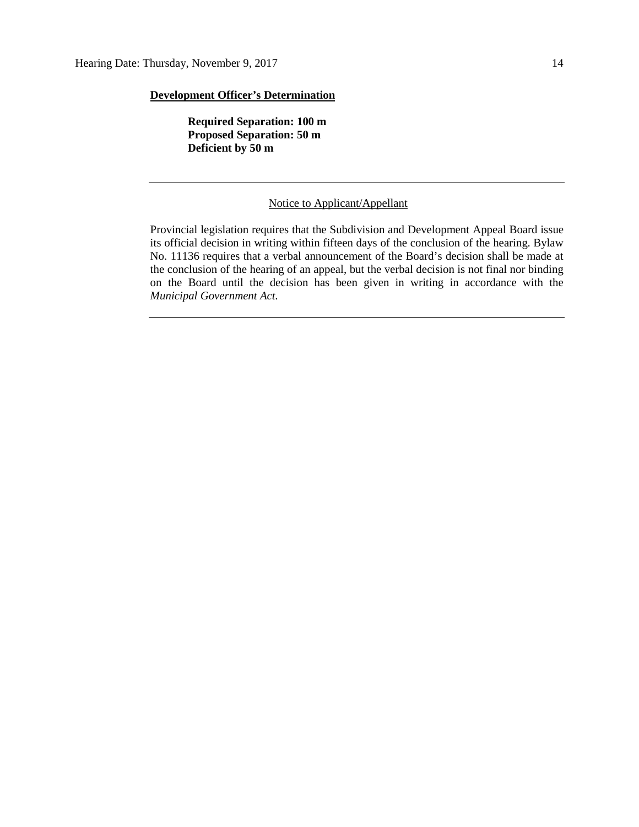## **Development Officer's Determination**

**Required Separation: 100 m Proposed Separation: 50 m Deficient by 50 m**

#### Notice to Applicant/Appellant

Provincial legislation requires that the Subdivision and Development Appeal Board issue its official decision in writing within fifteen days of the conclusion of the hearing. Bylaw No. 11136 requires that a verbal announcement of the Board's decision shall be made at the conclusion of the hearing of an appeal, but the verbal decision is not final nor binding on the Board until the decision has been given in writing in accordance with the *Municipal Government Act.*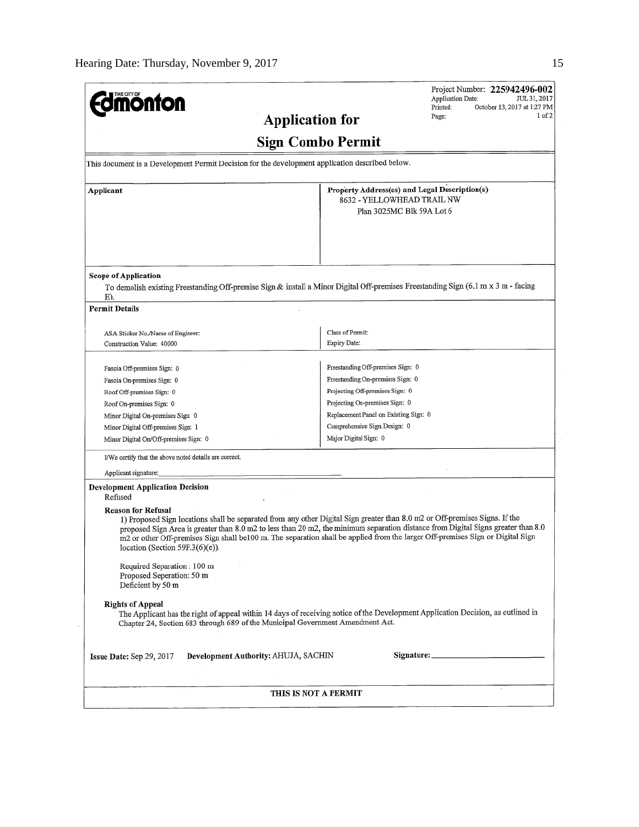| <b>monton</b>                                                                                             | Project Number: 225942496-002<br>Application Date:<br>JUL 31, 2017<br>Printed:                                                                                                                                                                                                                                                                                                                     |  |  |  |  |
|-----------------------------------------------------------------------------------------------------------|----------------------------------------------------------------------------------------------------------------------------------------------------------------------------------------------------------------------------------------------------------------------------------------------------------------------------------------------------------------------------------------------------|--|--|--|--|
| <b>Application for</b>                                                                                    | October 13, 2017 at 1:27 PM<br>1 of 2<br>Page:                                                                                                                                                                                                                                                                                                                                                     |  |  |  |  |
|                                                                                                           |                                                                                                                                                                                                                                                                                                                                                                                                    |  |  |  |  |
|                                                                                                           | Sign Combo Permit                                                                                                                                                                                                                                                                                                                                                                                  |  |  |  |  |
| This document is a Development Permit Decision for the development application described below.           |                                                                                                                                                                                                                                                                                                                                                                                                    |  |  |  |  |
| Applicant                                                                                                 | Property Address(es) and Legal Description(s)<br>8632 - YELLOWHEAD TRAIL NW                                                                                                                                                                                                                                                                                                                        |  |  |  |  |
|                                                                                                           | Plan 3025MC Blk 59A Lot 6                                                                                                                                                                                                                                                                                                                                                                          |  |  |  |  |
|                                                                                                           |                                                                                                                                                                                                                                                                                                                                                                                                    |  |  |  |  |
| <b>Scope of Application</b>                                                                               | To demolish existing Freestanding Off-premise Sign & install a Minor Digital Off-premises Freestanding Sign (6.1 m x 3 m - facing                                                                                                                                                                                                                                                                  |  |  |  |  |
| E).                                                                                                       |                                                                                                                                                                                                                                                                                                                                                                                                    |  |  |  |  |
| <b>Permit Details</b>                                                                                     |                                                                                                                                                                                                                                                                                                                                                                                                    |  |  |  |  |
|                                                                                                           | Class of Permit:                                                                                                                                                                                                                                                                                                                                                                                   |  |  |  |  |
| ASA Sticker No./Name of Engineer:<br>Construction Value: 40000                                            | Expiry Date:                                                                                                                                                                                                                                                                                                                                                                                       |  |  |  |  |
|                                                                                                           |                                                                                                                                                                                                                                                                                                                                                                                                    |  |  |  |  |
| Fascia Off-premises Sign: 0                                                                               | Freestanding Off-premises Sign: 0                                                                                                                                                                                                                                                                                                                                                                  |  |  |  |  |
| Fascia On-premises Sign: 0                                                                                | Freestanding On-premises Sign: 0                                                                                                                                                                                                                                                                                                                                                                   |  |  |  |  |
| Roof Off-premises Sign: 0                                                                                 | Projecting Off-premises Sign: 0                                                                                                                                                                                                                                                                                                                                                                    |  |  |  |  |
| Roof On-premises Sign: 0                                                                                  | Projecting On-premises Sign: 0                                                                                                                                                                                                                                                                                                                                                                     |  |  |  |  |
| Minor Digital On-premises Sign: 0                                                                         | Replacement Panel on Existing Sign: 0                                                                                                                                                                                                                                                                                                                                                              |  |  |  |  |
| Minor Digital Off-premises Sign: 1                                                                        | Comprehensive Sign Design: 0                                                                                                                                                                                                                                                                                                                                                                       |  |  |  |  |
| Minor Digital On/Off-premises Sign: 0                                                                     | Major Digital Sign: 0                                                                                                                                                                                                                                                                                                                                                                              |  |  |  |  |
| I/We certify that the above noted details are correct.                                                    |                                                                                                                                                                                                                                                                                                                                                                                                    |  |  |  |  |
| Applicant signature:                                                                                      |                                                                                                                                                                                                                                                                                                                                                                                                    |  |  |  |  |
| <b>Development Application Decision</b><br>Refused                                                        |                                                                                                                                                                                                                                                                                                                                                                                                    |  |  |  |  |
| <b>Reason for Refusal</b><br>location (Section 59F.3(6)(e)).                                              | 1) Proposed Sign locations shall be separated from any other Digital Sign greater than 8.0 m2 or Off-premises Signs. If the<br>proposed Sign Area is greater than 8.0 m2 to less than 20 m2, the minimum separation distance from Digital Signs greater than 8.0<br>m2 or other Off-premises Sign shall be100 m. The separation shall be applied from the larger Off-premises Sign or Digital Sign |  |  |  |  |
| Required Separation: 100 m<br>Proposed Seperation: 50 m<br>Deficient by 50 m                              |                                                                                                                                                                                                                                                                                                                                                                                                    |  |  |  |  |
| <b>Rights of Appeal</b><br>Chapter 24, Section 683 through 689 of the Municipal Government Amendment Act. | The Applicant has the right of appeal within 14 days of receiving notice of the Development Application Decision, as outlined in                                                                                                                                                                                                                                                                   |  |  |  |  |
| Development Authority: AHUJA, SACHIN<br>Issue Date: Sep 29, 2017                                          |                                                                                                                                                                                                                                                                                                                                                                                                    |  |  |  |  |
|                                                                                                           | THIS IS NOT A PERMIT                                                                                                                                                                                                                                                                                                                                                                               |  |  |  |  |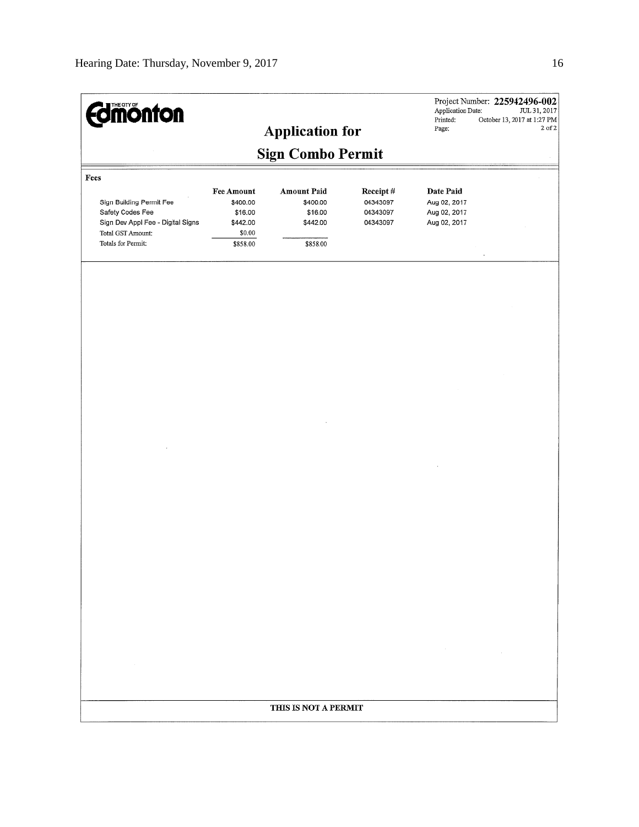| <b>Edmonton</b>                                                                                                                      |                                                                            | <b>Application for</b>                                            |                                              | Application Date:<br>Printed:<br>Page:                    | Project Number: 225942496-002<br>JUL 31, 2017<br>October 13, 2017 at 1:27 PM<br>$2$ of $2$ |  |  |  |
|--------------------------------------------------------------------------------------------------------------------------------------|----------------------------------------------------------------------------|-------------------------------------------------------------------|----------------------------------------------|-----------------------------------------------------------|--------------------------------------------------------------------------------------------|--|--|--|
| <b>Sign Combo Permit</b>                                                                                                             |                                                                            |                                                                   |                                              |                                                           |                                                                                            |  |  |  |
| Fees<br>Sign Building Permit Fee<br>Safety Codes Fee<br>Sign Dev Appl Fee - Digital Signs<br>Total GST Amount:<br>Totals for Permit: | <b>Fee Amount</b><br>\$400.00<br>\$16.00<br>\$442.00<br>\$0.00<br>\$858.00 | <b>Amount Paid</b><br>\$400.00<br>\$16.00<br>\$442.00<br>\$858.00 | Receipt#<br>04343097<br>04343097<br>04343097 | Date Paid<br>Aug 02, 2017<br>Aug 02, 2017<br>Aug 02, 2017 |                                                                                            |  |  |  |
|                                                                                                                                      |                                                                            |                                                                   |                                              |                                                           |                                                                                            |  |  |  |
|                                                                                                                                      |                                                                            |                                                                   |                                              |                                                           |                                                                                            |  |  |  |
|                                                                                                                                      |                                                                            |                                                                   |                                              |                                                           |                                                                                            |  |  |  |
|                                                                                                                                      |                                                                            |                                                                   |                                              |                                                           |                                                                                            |  |  |  |
|                                                                                                                                      |                                                                            |                                                                   |                                              |                                                           |                                                                                            |  |  |  |
|                                                                                                                                      |                                                                            |                                                                   |                                              |                                                           |                                                                                            |  |  |  |
|                                                                                                                                      |                                                                            |                                                                   |                                              |                                                           |                                                                                            |  |  |  |
|                                                                                                                                      |                                                                            |                                                                   |                                              | $\sim$                                                    |                                                                                            |  |  |  |
|                                                                                                                                      |                                                                            | THIS IS NOT A PERMIT                                              |                                              |                                                           |                                                                                            |  |  |  |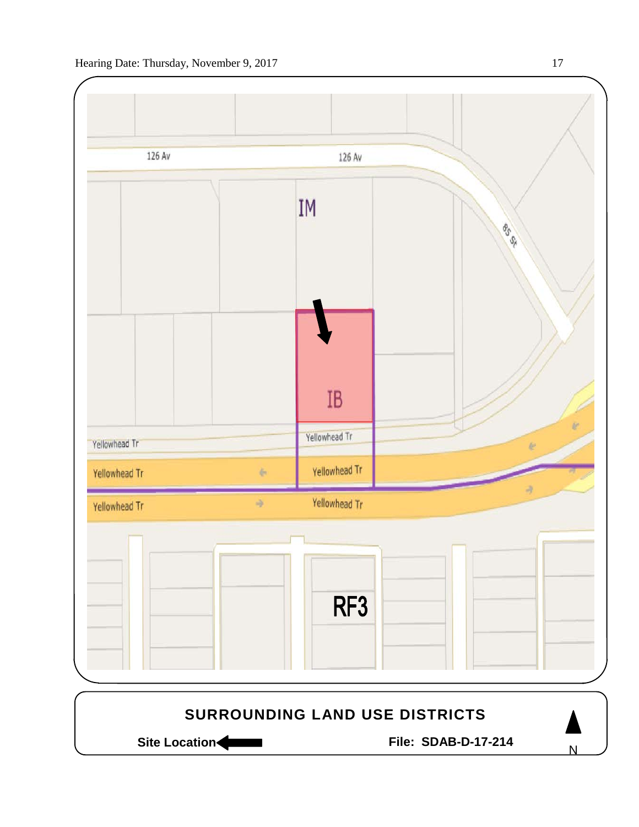

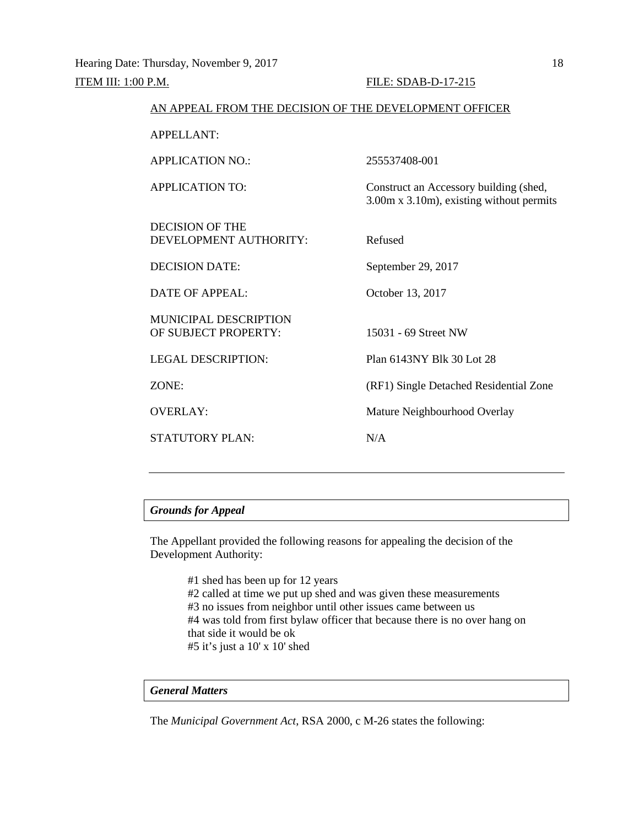| AN APPEAL FROM THE DECISION OF THE DEVELOPMENT OFFICER |                                                                                    |  |  |  |
|--------------------------------------------------------|------------------------------------------------------------------------------------|--|--|--|
| APPELLANT:                                             |                                                                                    |  |  |  |
| <b>APPLICATION NO.:</b>                                | 255537408-001                                                                      |  |  |  |
| <b>APPLICATION TO:</b>                                 | Construct an Accessory building (shed,<br>3.00m x 3.10m), existing without permits |  |  |  |
| DECISION OF THE<br>DEVELOPMENT AUTHORITY:              | Refused                                                                            |  |  |  |
| <b>DECISION DATE:</b>                                  | September 29, 2017                                                                 |  |  |  |
| DATE OF APPEAL:                                        | October 13, 2017                                                                   |  |  |  |
| <b>MUNICIPAL DESCRIPTION</b><br>OF SUBJECT PROPERTY:   | 15031 - 69 Street NW                                                               |  |  |  |
| <b>LEGAL DESCRIPTION:</b>                              | Plan 6143NY Blk 30 Lot 28                                                          |  |  |  |
| ZONE:                                                  | (RF1) Single Detached Residential Zone                                             |  |  |  |
| <b>OVERLAY:</b>                                        | Mature Neighbourhood Overlay                                                       |  |  |  |
| <b>STATUTORY PLAN:</b>                                 | N/A                                                                                |  |  |  |
|                                                        |                                                                                    |  |  |  |

The Appellant provided the following reasons for appealing the decision of the Development Authority:

> #1 shed has been up for 12 years #2 called at time we put up shed and was given these measurements #3 no issues from neighbor until other issues came between us #4 was told from first bylaw officer that because there is no over hang on that side it would be ok #5 it's just a 10' x 10' shed

## *General Matters*

The *Municipal Government Act*, RSA 2000, c M-26 states the following: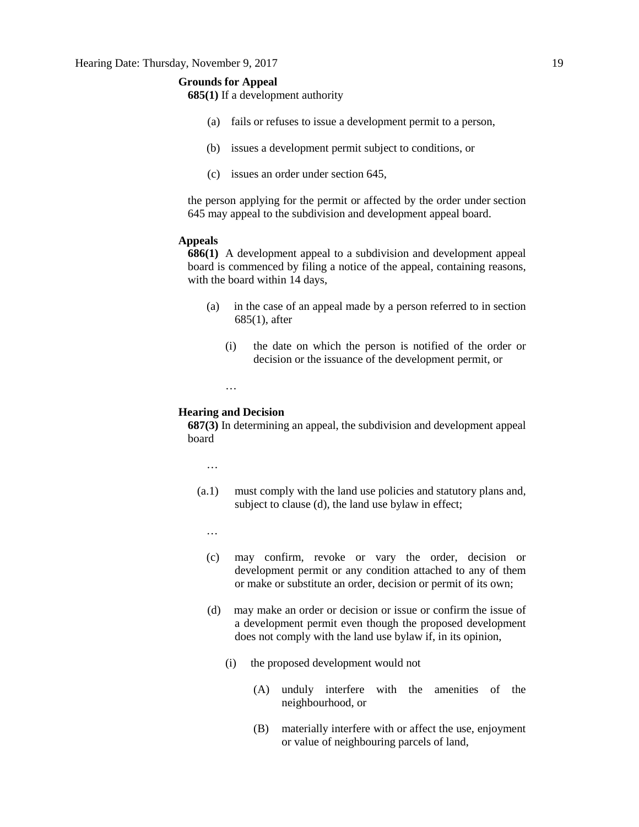**685(1)** If a development authority

- (a) fails or refuses to issue a development permit to a person,
- (b) issues a development permit subject to conditions, or
- (c) issues an order under section 645,

the person applying for the permit or affected by the order under section 645 may appeal to the subdivision and development appeal board.

### **Appeals**

**686(1)** A development appeal to a subdivision and development appeal board is commenced by filing a notice of the appeal, containing reasons, with the board within 14 days,

- (a) in the case of an appeal made by a person referred to in section 685(1), after
	- (i) the date on which the person is notified of the order or decision or the issuance of the development permit, or

#### **Hearing and Decision**

…

**687(3)** In determining an appeal, the subdivision and development appeal board

…

- (a.1) must comply with the land use policies and statutory plans and, subject to clause (d), the land use bylaw in effect;
	- …
	- (c) may confirm, revoke or vary the order, decision or development permit or any condition attached to any of them or make or substitute an order, decision or permit of its own;
	- (d) may make an order or decision or issue or confirm the issue of a development permit even though the proposed development does not comply with the land use bylaw if, in its opinion,
		- (i) the proposed development would not
			- (A) unduly interfere with the amenities of the neighbourhood, or
			- (B) materially interfere with or affect the use, enjoyment or value of neighbouring parcels of land,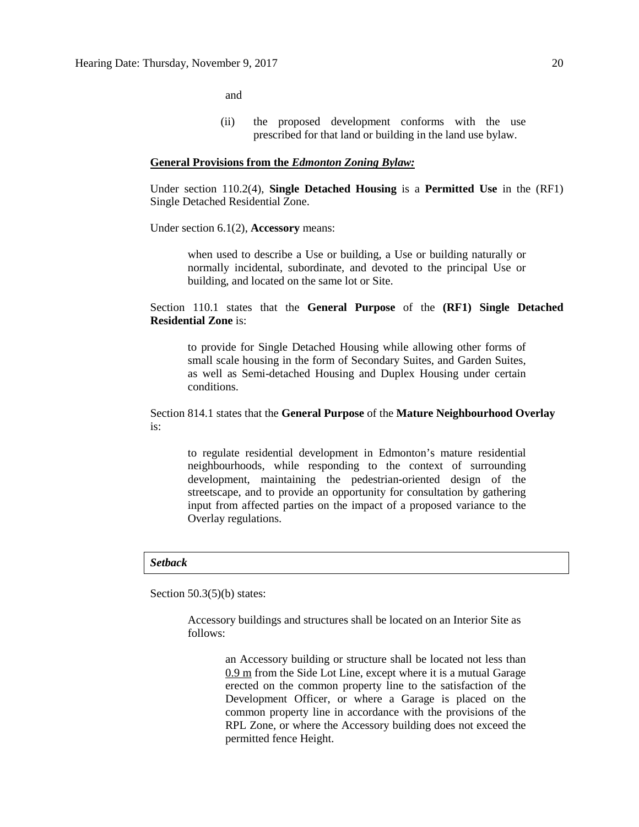and

(ii) the proposed development conforms with the use prescribed for that land or building in the land use bylaw.

#### **General Provisions from the** *Edmonton Zoning Bylaw:*

Under section 110.2(4), **Single Detached Housing** is a **Permitted Use** in the (RF1) Single Detached Residential Zone.

Under section 6.1(2), **Accessory** means:

when used to describe a Use or building, a Use or building naturally or normally incidental, subordinate, and devoted to the principal Use or building, and located on the same lot or Site.

Section 110.1 states that the **General Purpose** of the **(RF1) Single Detached Residential Zone** is:

to provide for Single Detached Housing while allowing other forms of small scale housing in the form of Secondary Suites, and Garden Suites, as well as Semi-detached Housing and Duplex Housing under certain conditions.

Section 814.1 states that the **General Purpose** of the **Mature Neighbourhood Overlay** is:

to regulate residential development in Edmonton's mature residential neighbourhoods, while responding to the context of surrounding development, maintaining the pedestrian-oriented design of the streetscape, and to provide an opportunity for consultation by gathering input from affected parties on the impact of a proposed variance to the Overlay regulations.

#### *Setback*

Section 50.3(5)(b) states:

Accessory buildings and structures shall be located on an Interior Site as follows:

> an Accessory building or structure shall be located not less than 0.9 m from the Side Lot Line, except where it is a mutual Garage erected on the common property line to the satisfaction of the Development Officer, or where a Garage is placed on the common property line in accordance with the provisions of the RPL Zone, or where the Accessory building does not exceed the permitted fence Height.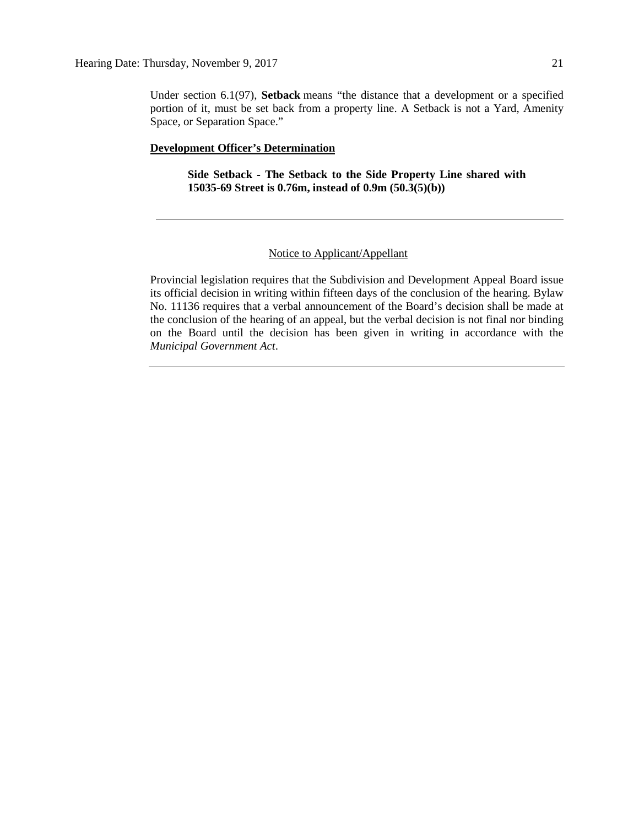Under section 6.1(97), **Setback** means "the distance that a development or a specified portion of it, must be set back from a property line. A Setback is not a Yard, Amenity Space, or Separation Space."

#### **Development Officer's Determination**

**Side Setback - The Setback to the Side Property Line shared with 15035-69 Street is 0.76m, instead of 0.9m (50.3(5)(b))**

### Notice to Applicant/Appellant

Provincial legislation requires that the Subdivision and Development Appeal Board issue its official decision in writing within fifteen days of the conclusion of the hearing. Bylaw No. 11136 requires that a verbal announcement of the Board's decision shall be made at the conclusion of the hearing of an appeal, but the verbal decision is not final nor binding on the Board until the decision has been given in writing in accordance with the *Municipal Government Act*.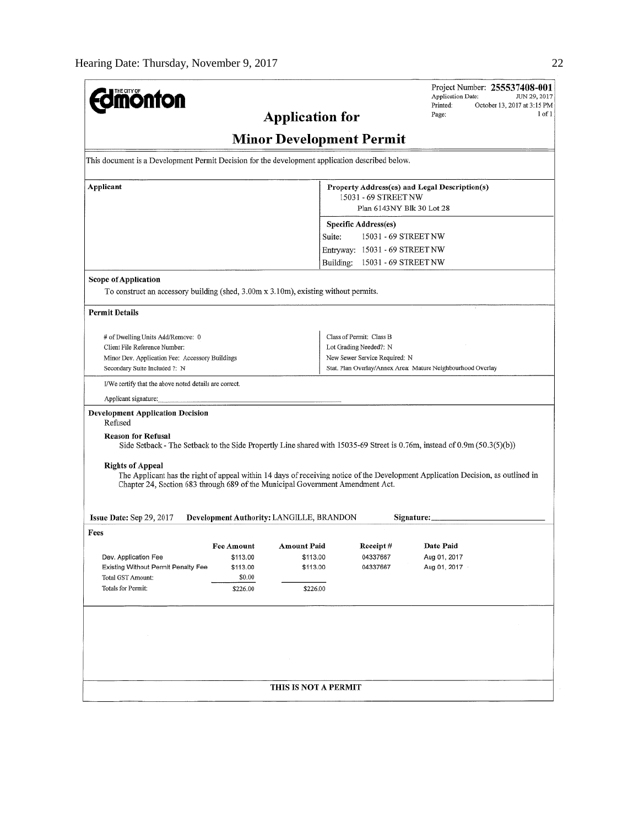| <b>Jmönton</b>                                                                                                                                                                                                                                |                                          |                                                                                                    |                                                        |                                                                                                                                                    | Project Number: 255537408-001<br>Application Date:<br>Printed:                                                           | JUN 29, 2017<br>October 13, 2017 at 3:15 PM |  |
|-----------------------------------------------------------------------------------------------------------------------------------------------------------------------------------------------------------------------------------------------|------------------------------------------|----------------------------------------------------------------------------------------------------|--------------------------------------------------------|----------------------------------------------------------------------------------------------------------------------------------------------------|--------------------------------------------------------------------------------------------------------------------------|---------------------------------------------|--|
| $1$ of $1$<br>Page:<br><b>Application for</b>                                                                                                                                                                                                 |                                          |                                                                                                    |                                                        |                                                                                                                                                    |                                                                                                                          |                                             |  |
| <b>Minor Development Permit</b>                                                                                                                                                                                                               |                                          |                                                                                                    |                                                        |                                                                                                                                                    |                                                                                                                          |                                             |  |
| This document is a Development Permit Decision for the development application described below.                                                                                                                                               |                                          |                                                                                                    |                                                        |                                                                                                                                                    |                                                                                                                          |                                             |  |
| Applicant                                                                                                                                                                                                                                     |                                          | Property Address(es) and Legal Description(s)<br>15031 - 69 STREET NW<br>Plan 6143NY Blk 30 Lot 28 |                                                        |                                                                                                                                                    |                                                                                                                          |                                             |  |
|                                                                                                                                                                                                                                               |                                          |                                                                                                    | Specific Address(es)<br>15031 - 69 STREET NW<br>Suite: |                                                                                                                                                    |                                                                                                                          |                                             |  |
|                                                                                                                                                                                                                                               |                                          |                                                                                                    |                                                        | Entryway: 15031 - 69 STREET NW                                                                                                                     |                                                                                                                          |                                             |  |
|                                                                                                                                                                                                                                               |                                          |                                                                                                    | Building:                                              | 15031 - 69 STREET NW                                                                                                                               |                                                                                                                          |                                             |  |
| <b>Scope of Application</b><br>To construct an accessory building (shed, 3.00m x 3.10m), existing without permits.                                                                                                                            |                                          |                                                                                                    |                                                        |                                                                                                                                                    |                                                                                                                          |                                             |  |
| Permit Details                                                                                                                                                                                                                                |                                          |                                                                                                    |                                                        |                                                                                                                                                    |                                                                                                                          |                                             |  |
| # of Dwelling Units Add/Remove: 0<br>Client File Reference Number;<br>Minor Dev. Application Fee: Accessory Buildings<br>Secondary Suite Included ?: N                                                                                        |                                          |                                                                                                    |                                                        | Class of Permit: Class B<br>Lot Grading Needed?: N<br>New Sewer Service Required: N<br>Stat. Plan Overlay/Annex Area: Mature Neighbourhood Overlay |                                                                                                                          |                                             |  |
| I/We certify that the above noted details are correct.                                                                                                                                                                                        |                                          |                                                                                                    |                                                        |                                                                                                                                                    |                                                                                                                          |                                             |  |
| Applicant signature:                                                                                                                                                                                                                          |                                          |                                                                                                    |                                                        |                                                                                                                                                    |                                                                                                                          |                                             |  |
| <b>Development Application Decision</b><br>Refused                                                                                                                                                                                            |                                          |                                                                                                    |                                                        |                                                                                                                                                    |                                                                                                                          |                                             |  |
| <b>Reason for Refusal</b>                                                                                                                                                                                                                     |                                          |                                                                                                    |                                                        |                                                                                                                                                    | Side Setback - The Setback to the Side Propertly Line shared with 15035-69 Street is 0.76m, instead of 0.9m (50.3(5)(b)) |                                             |  |
| <b>Rights of Appeal</b><br>The Applicant has the right of appeal within 14 days of receiving notice of the Development Application Decision, as outlined in<br>Chapter 24, Section 683 through 689 of the Municipal Government Amendment Act. |                                          |                                                                                                    |                                                        |                                                                                                                                                    |                                                                                                                          |                                             |  |
| Issue Date: Sep 29, 2017                                                                                                                                                                                                                      | Development Authority: LANGILLE, BRANDON |                                                                                                    |                                                        |                                                                                                                                                    | Signature:                                                                                                               |                                             |  |
| Fees                                                                                                                                                                                                                                          |                                          |                                                                                                    |                                                        |                                                                                                                                                    |                                                                                                                          |                                             |  |
|                                                                                                                                                                                                                                               | Fee Amount                               | <b>Amount Paid</b>                                                                                 |                                                        | <b>Receipt</b> #                                                                                                                                   | Date Paid                                                                                                                |                                             |  |
| Dev. Application Fee<br>Existing Without Permit Penalty Fee                                                                                                                                                                                   | \$113.00<br>\$113.00                     | \$113.00<br>\$113.00                                                                               |                                                        | 04337667<br>04337667                                                                                                                               | Aug 01, 2017<br>Aug 01, 2017                                                                                             |                                             |  |
| Total GST Amount:                                                                                                                                                                                                                             | \$0.00                                   |                                                                                                    |                                                        |                                                                                                                                                    |                                                                                                                          |                                             |  |
| Totals for Permit:                                                                                                                                                                                                                            | \$226.00                                 | \$226.00                                                                                           |                                                        |                                                                                                                                                    |                                                                                                                          |                                             |  |
|                                                                                                                                                                                                                                               |                                          |                                                                                                    |                                                        |                                                                                                                                                    |                                                                                                                          |                                             |  |
|                                                                                                                                                                                                                                               |                                          |                                                                                                    |                                                        |                                                                                                                                                    |                                                                                                                          |                                             |  |
|                                                                                                                                                                                                                                               |                                          |                                                                                                    |                                                        |                                                                                                                                                    |                                                                                                                          |                                             |  |
|                                                                                                                                                                                                                                               |                                          | THIS IS NOT A PERMIT                                                                               |                                                        |                                                                                                                                                    |                                                                                                                          |                                             |  |
|                                                                                                                                                                                                                                               |                                          |                                                                                                    |                                                        |                                                                                                                                                    |                                                                                                                          |                                             |  |